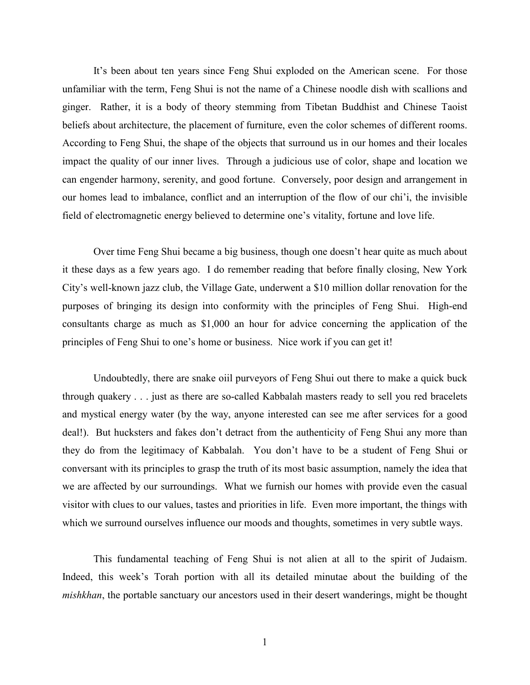It's been about ten years since Feng Shui exploded on the American scene. For those unfamiliar with the term, Feng Shui is not the name of a Chinese noodle dish with scallions and ginger. Rather, it is a body of theory stemming from Tibetan Buddhist and Chinese Taoist beliefs about architecture, the placement of furniture, even the color schemes of different rooms. According to Feng Shui, the shape of the objects that surround us in our homes and their locales impact the quality of our inner lives. Through a judicious use of color, shape and location we can engender harmony, serenity, and good fortune. Conversely, poor design and arrangement in our homes lead to imbalance, conflict and an interruption of the flow of our chi'i, the invisible field of electromagnetic energy believed to determine one's vitality, fortune and love life.

Over time Feng Shui became a big business, though one doesn't hear quite as much about it these days as a few years ago. I do remember reading that before finally closing, New York City's well-known jazz club, the Village Gate, underwent a \$10 million dollar renovation for the purposes of bringing its design into conformity with the principles of Feng Shui. High-end consultants charge as much as \$1,000 an hour for advice concerning the application of the principles of Feng Shui to one's home or business. Nice work if you can get it!

Undoubtedly, there are snake oiil purveyors of Feng Shui out there to make a quick buck through quakery . . . just as there are so-called Kabbalah masters ready to sell you red bracelets and mystical energy water (by the way, anyone interested can see me after services for a good deal!). But hucksters and fakes don't detract from the authenticity of Feng Shui any more than they do from the legitimacy of Kabbalah. You don't have to be a student of Feng Shui or conversant with its principles to grasp the truth of its most basic assumption, namely the idea that we are affected by our surroundings. What we furnish our homes with provide even the casual visitor with clues to our values, tastes and priorities in life. Even more important, the things with which we surround ourselves influence our moods and thoughts, sometimes in very subtle ways.

This fundamental teaching of Feng Shui is not alien at all to the spirit of Judaism. Indeed, this week's Torah portion with all its detailed minutae about the building of the *mishkhan*, the portable sanctuary our ancestors used in their desert wanderings, might be thought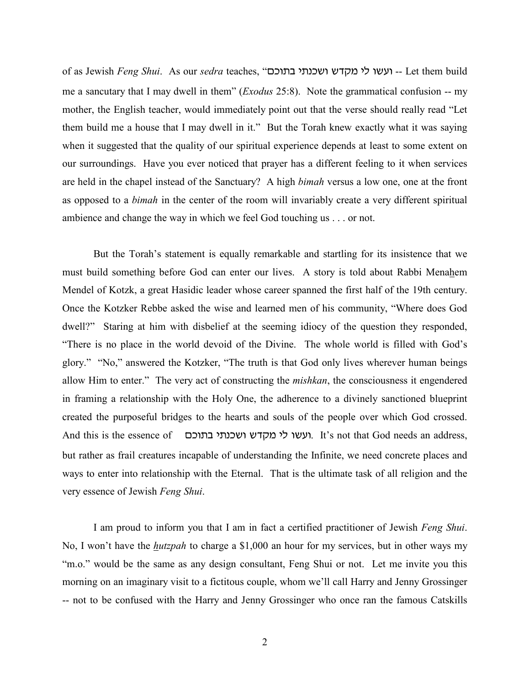of as Jewish *Feng Shui.* As our *sedra* teaches, "ועשו לי מקדש ושכנתי בתוכם -- Let them build me a sancutary that I may dwell in them" (*Exodus* 25:8). Note the grammatical confusion -- my mother, the English teacher, would immediately point out that the verse should really read "Let them build me a house that I may dwell in it." But the Torah knew exactly what it was saying when it suggested that the quality of our spiritual experience depends at least to some extent on our surroundings. Have you ever noticed that prayer has a different feeling to it when services are held in the chapel instead of the Sanctuary? A high *bimah* versus a low one, one at the front as opposed to a *bimah* in the center of the room will invariably create a very different spiritual ambience and change the way in which we feel God touching us . . . or not.

But the Torah's statement is equally remarkable and startling for its insistence that we must build something before God can enter our lives. A story is told about Rabbi Menahem Mendel of Kotzk, a great Hasidic leader whose career spanned the first half of the 19th century. Once the Kotzker Rebbe asked the wise and learned men of his community, "Where does God dwell?" Staring at him with disbelief at the seeming idiocy of the question they responded, "There is no place in the world devoid of the Divine. The whole world is filled with God's glory." "No," answered the Kotzker, "The truth is that God only lives wherever human beings allow Him to enter." The very act of constructing the *mishkan*, the consciousness it engendered in framing a relationship with the Holy One, the adherence to a divinely sanctioned blueprint created the purposeful bridges to the hearts and souls of the people over which God crossed. And this is the essence of \_ ועשו לי מקדש ושכנתי בתוכם . It's not that God needs an address, but rather as frail creatures incapable of understanding the Infinite, we need concrete places and ways to enter into relationship with the Eternal. That is the ultimate task of all religion and the very essence of Jewish *Feng Shui*.

I am proud to inform you that I am in fact a certified practitioner of Jewish *Feng Shui*. No, I won't have the *hutzpah* to charge a \$1,000 an hour for my services, but in other ways my "m.o." would be the same as any design consultant, Feng Shui or not. Let me invite you this morning on an imaginary visit to a fictitous couple, whom we'll call Harry and Jenny Grossinger -- not to be confused with the Harry and Jenny Grossinger who once ran the famous Catskills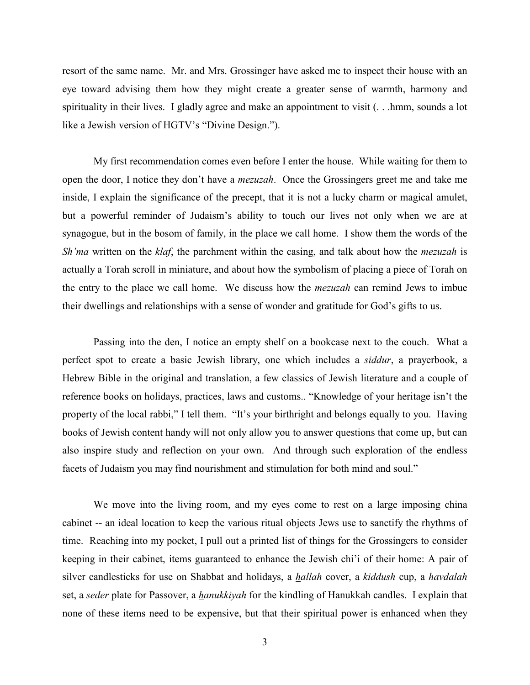resort of the same name. Mr. and Mrs. Grossinger have asked me to inspect their house with an eye toward advising them how they might create a greater sense of warmth, harmony and spirituality in their lives. I gladly agree and make an appointment to visit (. . .hmm, sounds a lot like a Jewish version of HGTV's "Divine Design.").

My first recommendation comes even before I enter the house. While waiting for them to open the door, I notice they don't have a *mezuzah*. Once the Grossingers greet me and take me inside, I explain the significance of the precept, that it is not a lucky charm or magical amulet, but a powerful reminder of Judaism's ability to touch our lives not only when we are at synagogue, but in the bosom of family, in the place we call home. I show them the words of the *Sh'ma* written on the *klaf*, the parchment within the casing, and talk about how the *mezuzah* is actually a Torah scroll in miniature, and about how the symbolism of placing a piece of Torah on the entry to the place we call home. We discuss how the *mezuzah* can remind Jews to imbue their dwellings and relationships with a sense of wonder and gratitude for God's gifts to us.

Passing into the den, I notice an empty shelf on a bookcase next to the couch. What a perfect spot to create a basic Jewish library, one which includes a *siddur*, a prayerbook, a Hebrew Bible in the original and translation, a few classics of Jewish literature and a couple of reference books on holidays, practices, laws and customs.. "Knowledge of your heritage isn't the property of the local rabbi," I tell them. "It's your birthright and belongs equally to you. Having books of Jewish content handy will not only allow you to answer questions that come up, but can also inspire study and reflection on your own. And through such exploration of the endless facets of Judaism you may find nourishment and stimulation for both mind and soul."

We move into the living room, and my eyes come to rest on a large imposing china cabinet -- an ideal location to keep the various ritual objects Jews use to sanctify the rhythms of time. Reaching into my pocket, I pull out a printed list of things for the Grossingers to consider keeping in their cabinet, items guaranteed to enhance the Jewish chi'i of their home: A pair of silver candlesticks for use on Shabbat and holidays, a *hallah* cover, a *kiddush* cup, a *havdalah* set, a *seder* plate for Passover, a *hanukkiyah* for the kindling of Hanukkah candles. I explain that none of these items need to be expensive, but that their spiritual power is enhanced when they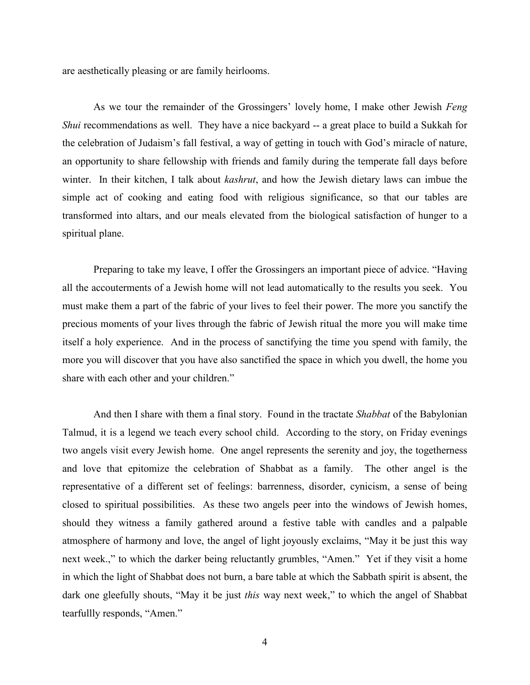are aesthetically pleasing or are family heirlooms.

As we tour the remainder of the Grossingers' lovely home, I make other Jewish *Feng Shui* recommendations as well. They have a nice backyard -- a great place to build a Sukkah for the celebration of Judaism's fall festival, a way of getting in touch with God's miracle of nature, an opportunity to share fellowship with friends and family during the temperate fall days before winter. In their kitchen, I talk about *kashrut*, and how the Jewish dietary laws can imbue the simple act of cooking and eating food with religious significance, so that our tables are transformed into altars, and our meals elevated from the biological satisfaction of hunger to a spiritual plane.

Preparing to take my leave, I offer the Grossingers an important piece of advice. "Having all the accouterments of a Jewish home will not lead automatically to the results you seek. You must make them a part of the fabric of your lives to feel their power. The more you sanctify the precious moments of your lives through the fabric of Jewish ritual the more you will make time itself a holy experience. And in the process of sanctifying the time you spend with family, the more you will discover that you have also sanctified the space in which you dwell, the home you share with each other and your children."

And then I share with them a final story. Found in the tractate *Shabbat* of the Babylonian Talmud, it is a legend we teach every school child. According to the story, on Friday evenings two angels visit every Jewish home. One angel represents the serenity and joy, the togetherness and love that epitomize the celebration of Shabbat as a family. The other angel is the representative of a different set of feelings: barrenness, disorder, cynicism, a sense of being closed to spiritual possibilities. As these two angels peer into the windows of Jewish homes, should they witness a family gathered around a festive table with candles and a palpable atmosphere of harmony and love, the angel of light joyously exclaims, "May it be just this way next week.," to which the darker being reluctantly grumbles, "Amen." Yet if they visit a home in which the light of Shabbat does not burn, a bare table at which the Sabbath spirit is absent, the dark one gleefully shouts, "May it be just *this* way next week," to which the angel of Shabbat tearfullly responds, "Amen."